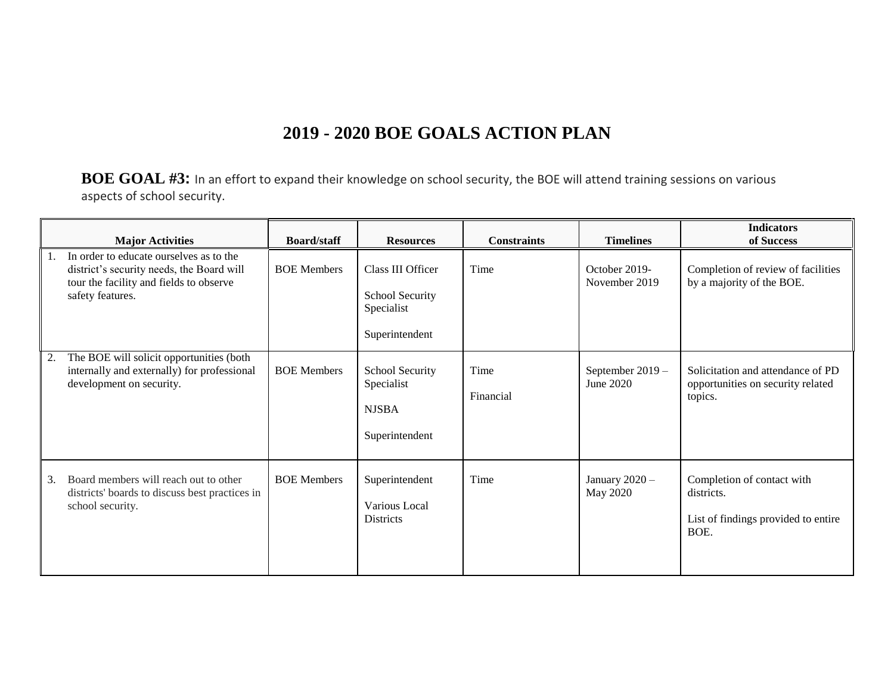## **2019 - 2020 BOE GOALS ACTION PLAN**

**BOE GOAL #3:** In an effort to expand their knowledge on school security, the BOE will attend training sessions on various aspects of school security.

|    | <b>Major Activities</b>                                                                                                                             | <b>Board/staff</b> | <b>Resources</b>                                                     | <b>Constraints</b> | <b>Timelines</b>               | <b>Indicators</b><br>of Success                                                         |
|----|-----------------------------------------------------------------------------------------------------------------------------------------------------|--------------------|----------------------------------------------------------------------|--------------------|--------------------------------|-----------------------------------------------------------------------------------------|
| 1. | In order to educate ourselves as to the<br>district's security needs, the Board will<br>tour the facility and fields to observe<br>safety features. | <b>BOE Members</b> | Class III Officer<br>School Security<br>Specialist<br>Superintendent | Time               | October 2019-<br>November 2019 | Completion of review of facilities<br>by a majority of the BOE.                         |
| 2. | The BOE will solicit opportunities (both<br>internally and externally) for professional<br>development on security.                                 | <b>BOE Members</b> | School Security<br>Specialist<br><b>NJSBA</b><br>Superintendent      | Time<br>Financial  | September 2019 -<br>June 2020  | Solicitation and attendance of PD<br>opportunities on security related<br>topics.       |
| 3. | Board members will reach out to other<br>districts' boards to discuss best practices in<br>school security.                                         | <b>BOE Members</b> | Superintendent<br>Various Local<br><b>Districts</b>                  | Time               | January 2020 -<br>May 2020     | Completion of contact with<br>districts.<br>List of findings provided to entire<br>BOE. |